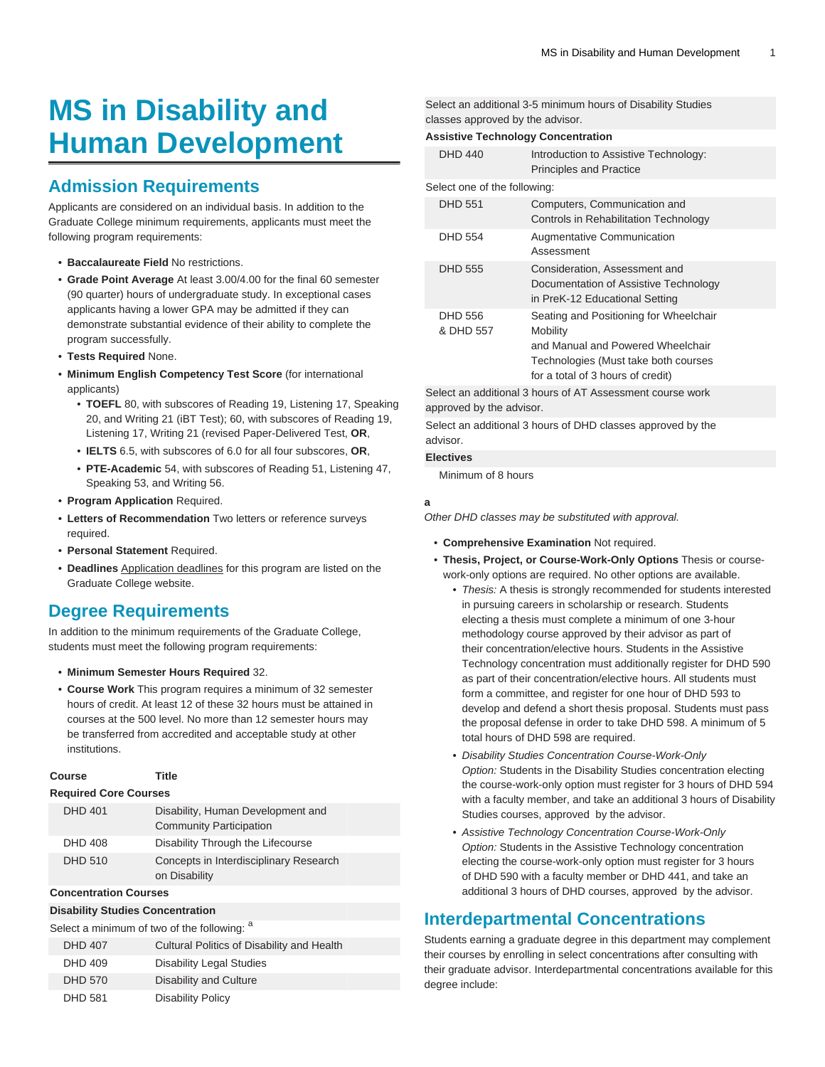# **MS in Disability and Human Development**

## **Admission Requirements**

Applicants are considered on an individual basis. In addition to the Graduate College minimum requirements, applicants must meet the following program requirements:

- **Baccalaureate Field** No restrictions.
- **Grade Point Average** At least 3.00/4.00 for the final 60 semester (90 quarter) hours of undergraduate study. In exceptional cases applicants having a lower GPA may be admitted if they can demonstrate substantial evidence of their ability to complete the program successfully.
- **Tests Required** None.
- **Minimum English Competency Test Score** (for international applicants)
	- **TOEFL** 80, with subscores of Reading 19, Listening 17, Speaking 20, and Writing 21 (iBT Test); 60, with subscores of Reading 19, Listening 17, Writing 21 (revised Paper-Delivered Test, **OR**,
	- **IELTS** 6.5, with subscores of 6.0 for all four subscores, **OR**,
	- **PTE-Academic** 54, with subscores of Reading 51, Listening 47, Speaking 53, and Writing 56.
- **Program Application** Required.
- **Letters of Recommendation** Two letters or reference surveys required.
- **Personal Statement** Required.
- **Deadlines** [Application deadlines](http://grad.uic.edu/deadlines/) for this program are listed on the Graduate College website.

## **Degree Requirements**

In addition to the minimum requirements of the Graduate College, students must meet the following program requirements:

- **Minimum Semester Hours Required** 32.
- **Course Work** This program requires a minimum of 32 semester hours of credit. At least 12 of these 32 hours must be attained in courses at the 500 level. No more than 12 semester hours may be transferred from accredited and acceptable study at other institutions.

| <b>Course</b>                | Title                                                               |  |
|------------------------------|---------------------------------------------------------------------|--|
| <b>Required Core Courses</b> |                                                                     |  |
| <b>DHD 401</b>               | Disability, Human Development and<br><b>Community Participation</b> |  |
| DHD 408                      | Disability Through the Lifecourse                                   |  |
| <b>DHD 510</b>               | Concepts in Interdisciplinary Research<br>on Disability             |  |
|                              |                                                                     |  |

#### **Concentration Courses**

**Disability Studies Concentration**

| Select a minimum of two of the following: <sup>a</sup> |                                            |  |
|--------------------------------------------------------|--------------------------------------------|--|
| <b>DHD 407</b>                                         | Cultural Politics of Disability and Health |  |
| DHD 409                                                | <b>Disability Legal Studies</b>            |  |
| <b>DHD 570</b>                                         | Disability and Culture                     |  |
| DHD 581                                                | <b>Disability Policy</b>                   |  |
|                                                        |                                            |  |

Select an additional 3-5 minimum hours of Disability Studies classes approved by the advisor.

**Assistive Technology Concentration**

|                              | <b>DHD 440</b>       | Introduction to Assistive Technology:<br><b>Principles and Practice</b>                                                                                              |
|------------------------------|----------------------|----------------------------------------------------------------------------------------------------------------------------------------------------------------------|
| Select one of the following: |                      |                                                                                                                                                                      |
|                              | <b>DHD 551</b>       | Computers, Communication and<br>Controls in Rehabilitation Technology                                                                                                |
|                              | DHD 554              | Augmentative Communication<br>Assessment                                                                                                                             |
|                              | DHD 555              | Consideration, Assessment and<br>Documentation of Assistive Technology<br>in PreK-12 Educational Setting                                                             |
|                              | DHD 556<br>& DHD 557 | Seating and Positioning for Wheelchair<br>Mobility<br>and Manual and Powered Wheelchair<br>Technologies (Must take both courses<br>for a total of 3 hours of credit) |
|                              |                      |                                                                                                                                                                      |

Select an additional 3 hours of AT Assessment course work approved by the advisor.

Select an additional 3 hours of DHD classes approved by the advisor.

#### **Electives**

Minimum of 8 hours

#### **a**

Other DHD classes may be substituted with approval.

- **Comprehensive Examination** Not required.
- **Thesis, Project, or Course-Work-Only Options** Thesis or coursework-only options are required. No other options are available.
	- Thesis: A thesis is strongly recommended for students interested in pursuing careers in scholarship or research. Students electing a thesis must complete a minimum of one 3-hour methodology course approved by their advisor as part of their concentration/elective hours. Students in the Assistive Technology concentration must additionally register for DHD 590 as part of their concentration/elective hours. All students must form a committee, and register for one hour of DHD 593 to develop and defend a short thesis proposal. Students must pass the proposal defense in order to take DHD 598. A minimum of 5 total hours of DHD 598 are required.
	- Disability Studies Concentration Course-Work-Only Option: Students in the Disability Studies concentration electing the course-work-only option must register for 3 hours of DHD 594 with a faculty member, and take an additional 3 hours of Disability Studies courses, approved by the advisor.
	- Assistive Technology Concentration Course-Work-Only Option: Students in the Assistive Technology concentration electing the course-work-only option must register for 3 hours of DHD 590 with a faculty member or DHD 441, and take an additional 3 hours of DHD courses, approved by the advisor.

### **Interdepartmental Concentrations**

Students earning a graduate degree in this department may complement their courses by enrolling in select concentrations after consulting with their graduate advisor. Interdepartmental concentrations available for this degree include: